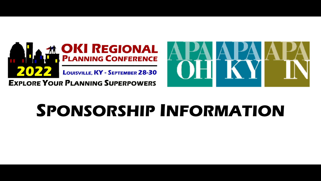

**EXPLORE YOUR PLANNING SUPERPOWERS** 



# **SPONSORSHIP INFORMATION**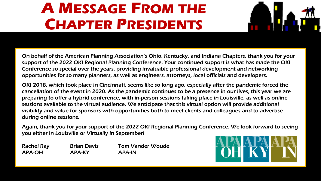## **A MESSAGE FROM THE CHAPTER PRESIDENTS**



On behalf of the American Planning Association's Ohio, Kentucky, and Indiana Chapters, thank you for your support of the 2022 OKI Regional Planning Conference. Your continued support is what has made the OKI Conference so special over the years, providing invaluable professional development and networking opportunities for so many planners, as well as engineers, attorneys, local officials and developers.

OKI 2018, which took place in Cincinnati, seems like so long ago, especially after the pandemic forced the cancellation of the event in 2020. As the pandemic continues to be a presence in our lives, this year we are preparing to offer a hybrid conference, with in-person sessions taking place in Louisville, as well as online sessions available to the virtual audience. We anticipate that this virtual option will provide additional visibility and value for sponsors with opportunities both to meet clients and colleagues and to advertise during online sessions.

Again, thank you for your support of the 2022 OKI Regional Planning Conference. We look forward to seeing<br>vou either in Louisville or Virtually in September! you either in Louisville or Virtually in September!

Rachel Ray Brian Davis Tom Vander Woude APA-OH APA-KY APA-IN

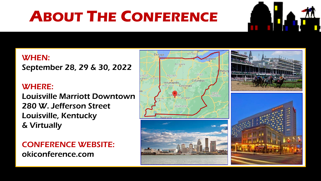# **ABOUT THE CONFERENCE**



#### WHEN: September 28, 29 & 30, 2022

#### WHERE:

Louisville Marriott Downtown 280 W. Jefferson Street Louisville, Kentucky & Virtually

CONFERENCE WEBSITE: okiconference.com

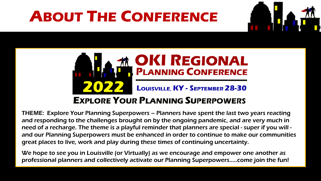# **ABOUT THE CONFERENCE**





need of a recharge. The theme is a playful reminder that planners are special - super if you will -<br>and our Planning Superpowers must be enhanced in order to continue to make our communitie THEME: Explore Your Planning Superpowers – Planners have spent the last two years reacting and responding to the challenges brought on by the ongoing pandemic, and are very much in and our Planning Superpowers must be enhanced in order to continue to make our communities great places to live, work and play during these times of continuing uncertainty.

We hope to see you in Louisville (or Virtually) as we encourage and empower one another as professional planners and collectively activate our Planning Superpowers…..come join the fun!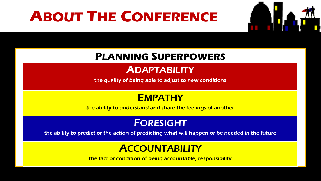## **ABOUT THE CONFERENCE**



### **PLANNING SUPERPOWERS**

### **ADAPTABILITY**

the quality of being able to adjust to new conditions

#### **EMPATHY**

the ability to understand and share the feelings of another

#### FORESIGHT

Sponsorship Opportunities the ability to predict or the action of predicting what will happen or be needed in the future

### **ACCOUNTABILITY**

the fact or condition of being accountable; responsibility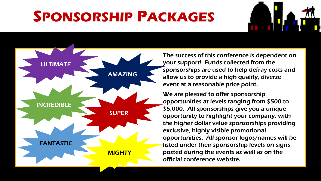



The success of this conference is dependent on your support! Funds collected from the sponsorships are used to help defray costs and allow us to provide a high quality, diverse event at a reasonable price point.

exclusive, highly visible promotional We are pleased to offer sponsorship opportunities at levels ranging from \$500 to \$5,000. All sponsorships give you a unique opportunity to highlight your company, with the higher dollar value sponsorships providing opportunities. All sponsor logos/names will be listed under their sponsorship levels on signs posted during the events as well as on the official conference website.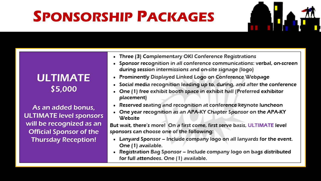

#### ULTIMATE \$5,000

As an added bonus, ULTIMATE level sponsors will be recognized as an Official Sponsor of the Thursday Reception!

- Three (3) Complementary OKI Conference Registrations
- Sponsor recognition in all conference communications: verbal, on-screen during session intermissions and on-site signage (logo)
- Prominently Displayed Linked Logo on Conference Webpage
- Social media recognition leading up to, during, and after the conference
- One (1) free exhibit booth space in exhibit hall (Preferred exhibitor placement)
- Reserved seating and recognition at conference keynote luncheon
- One year recognition as an APA-KY Chapter Sponsor on the APA-KY **Website**

But wait, there's more! On a first come, first serve basis, ULTIMATE level<br>sponsors can choose one of the following:

- Lanyard Sponsor Include company logo on all lanyards for the event. One (1) available.
- Registration Bag Sponsor Include company logo on bags distributed for full attendees. One (1) available.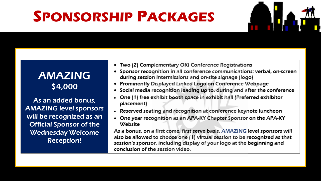

### AMAZING \$4,000

As an added bonus, AMAZING level sponsors will be recognized as an Official Sponsor of the Wednesday Welcome Reception!

- Two (2) Complementary OKI Conference Registrations
- Sponsor recognition in all conference communications: verbal, on-screen during session intermissions and on-site signage (logo)
- Prominently Displayed Linked Logo on Conference Webpage
- Social media recognition leading up to, during and after the conference
- One (1) free exhibit booth space in exhibit hall (Preferred exhibitor placement)
- Reserved seating and recognition at conference keynote luncheon
- One year recognition as an APA-KY Chapter Sponsor on the APA-KY

Website<br>As a bonus, on a first come, first serve basis, AMAZING level sponsors will<br>also be allowed to choose one (1) virtual session to be recognized as that session's sponsor, including display of your logo at the beginning and conclusion of the session video.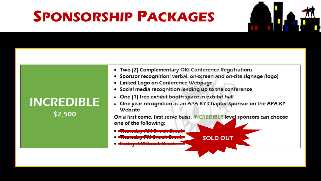**INCREDIBLE** 

\$2,500



- Sponsor recognition: verbal, on-screen and on-site signage (logo)
- Linked Logo on Conference Webpage
- Social media recognition leading up to the conference
- One (1) free exhibit booth space in exhibit hall
- One year recognition as an APA-KY Chapter Sponsor on the APA-KY **Website**

On a first come, first serve basis, INCREDIBLE level sponsors can choose one of the following:<br>• <del>Thursday AM Snack Break</del>

SOLD OUT

- 
- 
- *<u>BANKA MARAILIA 1999 BANKA MARAILIA 1999 BANKA MARAILIA 1999 BANKA MARAILIA 1999 BANKA MARAILIA 1999 BANKA MAR*</u>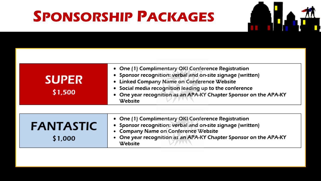

| <b>SUPER</b><br>\$1,500     | • One (1) Complimentary OKI Conference Registration<br>• Sponsor recognition: verbal and on-site signage (written)<br>• Linked Company Name on Conference Website<br>· Social media recognition leading up to the conference<br>• One year recognition as an APA-KY Chapter Sponsor on the APA-KY<br>Website |
|-----------------------------|--------------------------------------------------------------------------------------------------------------------------------------------------------------------------------------------------------------------------------------------------------------------------------------------------------------|
| <b>FANTASTIC</b><br>\$1,000 | • One (1) Complimentary OKI Conference Registration<br>• Sponsor recognition: verbal and on-site signage (written)<br>• Company Name on Conference Website<br>One year recognition as an APA-KY Chapter Sponsor on the APA-KY<br>Website                                                                     |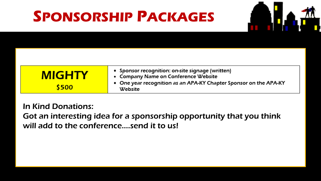

| <b>MIGHTY</b> | • Sponsor recognition: on-site signage (written)<br>• Company Name on Conference Website |  |
|---------------|------------------------------------------------------------------------------------------|--|
| \$500         | • One year recognition as an APA-KY Chapter Sponsor on the APA-KY<br>Website             |  |

will add to the conference....send it to us! In Kind Donations: Got an interesting idea for a sponsorship opportunity that you think